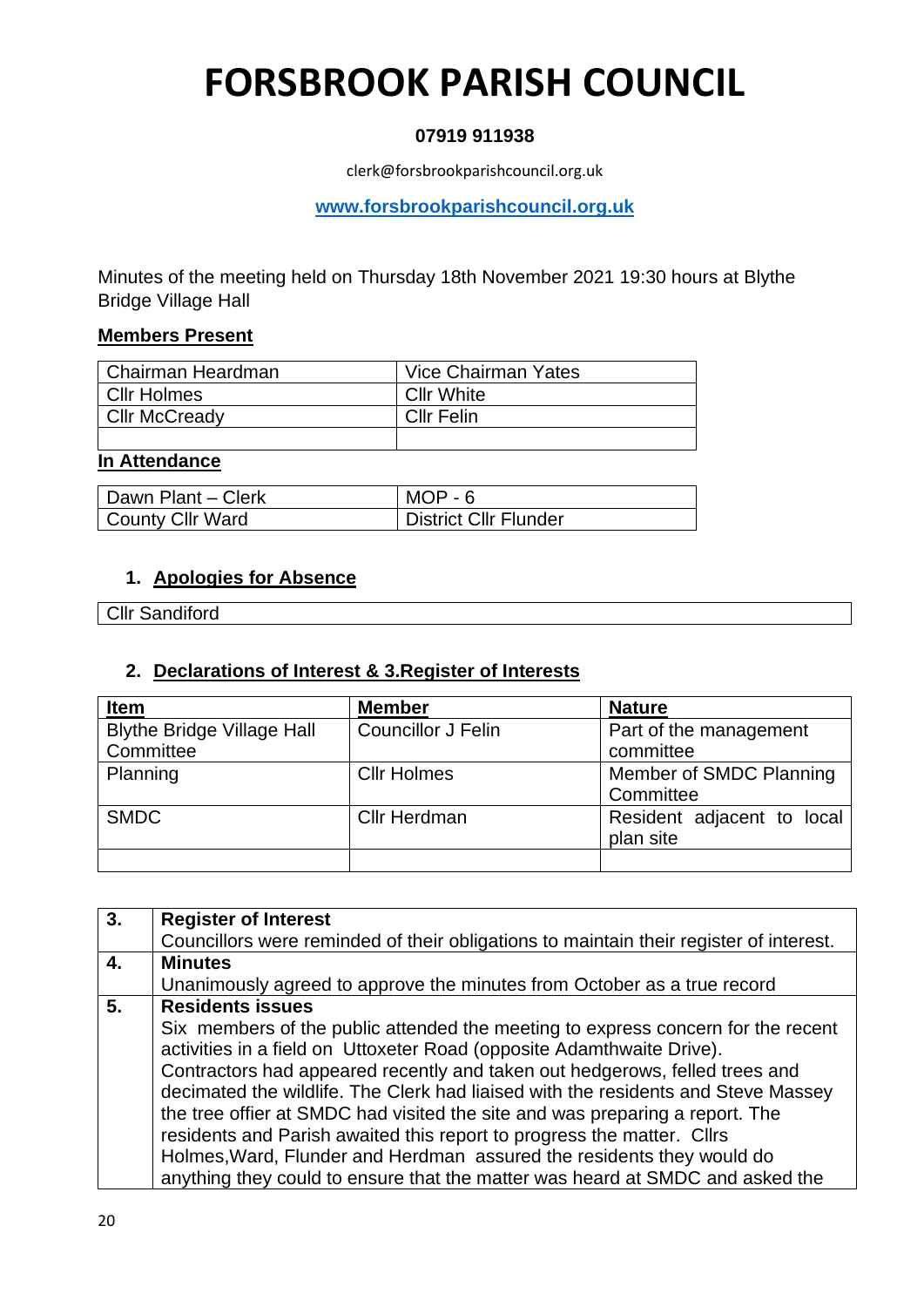# **FORSBROOK PARISH COUNCIL**

## **07919 911938**

clerk@forsbrookparishcouncil.org.uk

**[www.forsbrookparishcouncil.org.uk](http://www.forsbrookparishcouncil.org.uk/)** 

Minutes of the meeting held on Thursday 18th November 2021 19:30 hours at Blythe Bridge Village Hall

### **Members Present**

| l Chairman Heardman  | Vice Chairman Yates |
|----------------------|---------------------|
| i Cllr Holmes i      | <b>Cllr White</b>   |
| <b>Cllr McCready</b> | <b>Cllr Felin</b>   |
|                      |                     |

#### **In Attendance**

| l Dawn Plant – Clerk | $MOP - 6$             |
|----------------------|-----------------------|
| County Cllr Ward     | District Cllr Flunder |

### **1. Apologies for Absence**

Cllr Sandiford

### **2. Declarations of Interest & 3.Register of Interests**

| <b>Item</b>                                    | <b>Member</b>             | <b>Nature</b>                           |
|------------------------------------------------|---------------------------|-----------------------------------------|
| <b>Blythe Bridge Village Hall</b><br>Committee | <b>Councillor J Felin</b> | Part of the management<br>committee     |
| Planning                                       | <b>CIIr Holmes</b>        | Member of SMDC Planning<br>Committee    |
| <b>SMDC</b>                                    | <b>Cllr Herdman</b>       | Resident adjacent to local<br>plan site |
|                                                |                           |                                         |

| $\overline{3}$ . | <b>Register of Interest</b>                                                            |
|------------------|----------------------------------------------------------------------------------------|
|                  | Councillors were reminded of their obligations to maintain their register of interest. |
| $\overline{4}$ . | <b>Minutes</b>                                                                         |
|                  | Unanimously agreed to approve the minutes from October as a true record                |
| 5.               | <b>Residents issues</b>                                                                |
|                  | Six members of the public attended the meeting to express concern for the recent       |
|                  | activities in a field on Uttoxeter Road (opposite Adamthwaite Drive).                  |
|                  | Contractors had appeared recently and taken out hedgerows, felled trees and            |
|                  | decimated the wildlife. The Clerk had liaised with the residents and Steve Massey      |
|                  | the tree offier at SMDC had visited the site and was preparing a report. The           |
|                  | residents and Parish awaited this report to progress the matter. Cllrs                 |
|                  | Holmes, Ward, Flunder and Herdman assured the residents they would do                  |
|                  | anything they could to ensure that the matter was heard at SMDC and asked the          |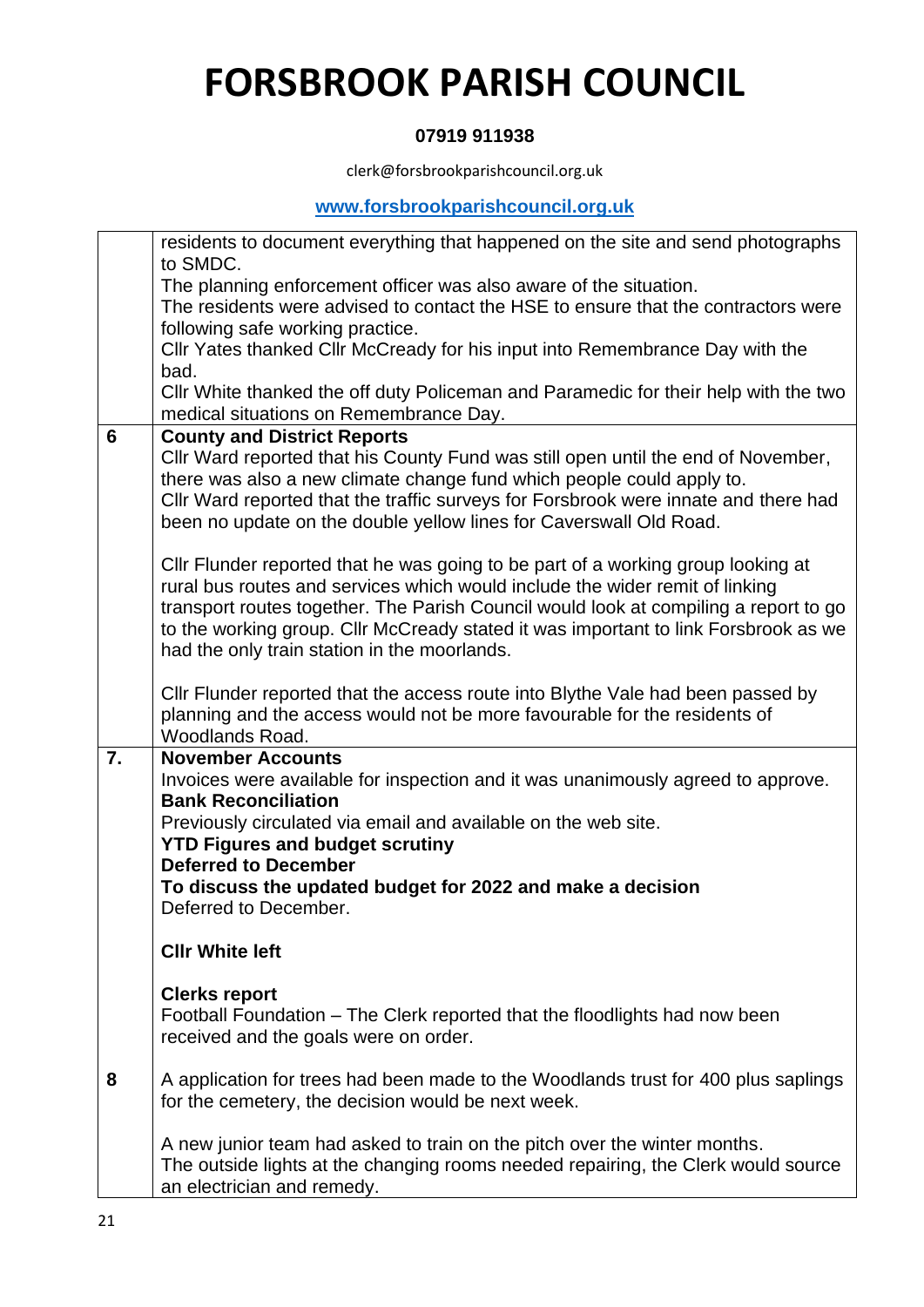# **FORSBROOK PARISH COUNCIL**

## **07919 911938**

clerk@forsbrookparishcouncil.org.uk

## **[www.forsbrookparishcouncil.org.uk](http://www.forsbrookparishcouncil.org.uk/)**

|    | residents to document everything that happened on the site and send photographs<br>to SMDC. |
|----|---------------------------------------------------------------------------------------------|
|    | The planning enforcement officer was also aware of the situation.                           |
|    | The residents were advised to contact the HSE to ensure that the contractors were           |
|    | following safe working practice.                                                            |
|    | Cllr Yates thanked Cllr McCready for his input into Remembrance Day with the                |
|    | bad.                                                                                        |
|    | CIIr White thanked the off duty Policeman and Paramedic for their help with the two         |
|    | medical situations on Remembrance Day.                                                      |
| 6  | <b>County and District Reports</b>                                                          |
|    | Cllr Ward reported that his County Fund was still open until the end of November,           |
|    | there was also a new climate change fund which people could apply to.                       |
|    | Cllr Ward reported that the traffic surveys for Forsbrook were innate and there had         |
|    | been no update on the double yellow lines for Caverswall Old Road.                          |
|    |                                                                                             |
|    | CIIr Flunder reported that he was going to be part of a working group looking at            |
|    | rural bus routes and services which would include the wider remit of linking                |
|    | transport routes together. The Parish Council would look at compiling a report to go        |
|    | to the working group. Cllr McCready stated it was important to link Forsbrook as we         |
|    | had the only train station in the moorlands.                                                |
|    |                                                                                             |
|    | Cllr Flunder reported that the access route into Blythe Vale had been passed by             |
|    | planning and the access would not be more favourable for the residents of                   |
|    | <b>Woodlands Road.</b>                                                                      |
| 7. | <b>November Accounts</b>                                                                    |
|    | Invoices were available for inspection and it was unanimously agreed to approve.            |
|    | <b>Bank Reconciliation</b>                                                                  |
|    | Previously circulated via email and available on the web site.                              |
|    | <b>YTD Figures and budget scrutiny</b>                                                      |
|    | <b>Deferred to December</b>                                                                 |
|    | To discuss the updated budget for 2022 and make a decision                                  |
|    | Deferred to December.                                                                       |
|    |                                                                                             |
|    | <b>CIIr White left</b>                                                                      |
|    | <b>Clerks report</b>                                                                        |
|    | Football Foundation – The Clerk reported that the floodlights had now been                  |
|    | received and the goals were on order.                                                       |
|    |                                                                                             |
| 8  | A application for trees had been made to the Woodlands trust for 400 plus saplings          |
|    | for the cemetery, the decision would be next week.                                          |
|    |                                                                                             |
|    | A new junior team had asked to train on the pitch over the winter months.                   |
|    | The outside lights at the changing rooms needed repairing, the Clerk would source           |
|    | an electrician and remedy.                                                                  |
|    |                                                                                             |